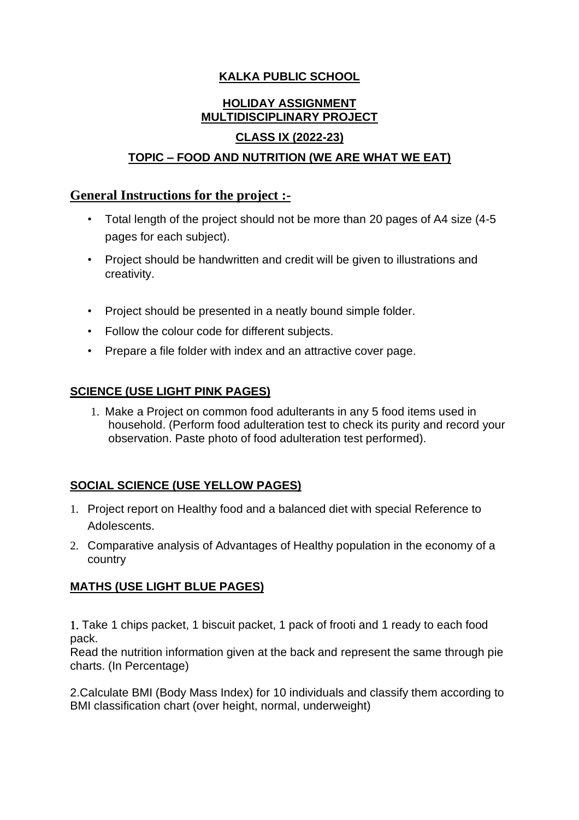## **KALKA PUBLIC SCHOOL**

# **HOLIDAY ASSIGNMENT MULTIDISCIPLINARY PROJECT**

#### **CLASS IX (2022-23)**

#### **TOPIC – FOOD AND NUTRITION (WE ARE WHAT WE EAT)**

#### **General Instructions for the project :-**

- Total length of the project should not be more than 20 pages of A4 size (4-5 pages for each subject).
- Project should be handwritten and credit will be given to illustrations and creativity.
- Project should be presented in a neatly bound simple folder.
- Follow the colour code for different subjects.
- Prepare a file folder with index and an attractive cover page.

#### **SCIENCE (USE LIGHT PINK PAGES)**

1. Make a Project on common food adulterants in any 5 food items used in household. (Perform food adulteration test to check its purity and record your observation. Paste photo of food adulteration test performed).

## **SOCIAL SCIENCE (USE YELLOW PAGES)**

- 1. Project report on Healthy food and a balanced diet with special Reference to Adolescents.
- 2. Comparative analysis of Advantages of Healthy population in the economy of a country

## **MATHS (USE LIGHT BLUE PAGES)**

 Take 1 chips packet, 1 biscuit packet, 1 pack of frooti and 1 ready to each food pack.

Read the nutrition information given at the back and represent the same through pie charts. (In Percentage)

2.Calculate BMI (Body Mass Index) for 10 individuals and classify them according to BMI classification chart (over height, normal, underweight)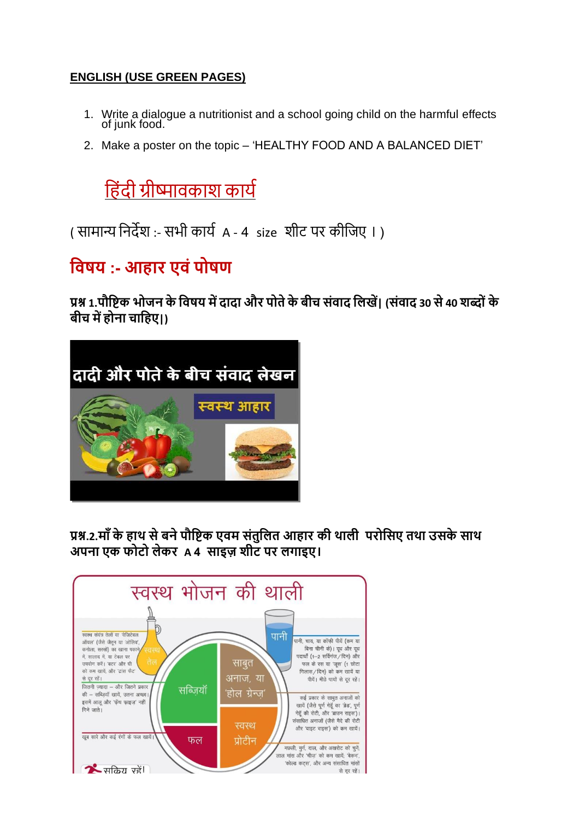## **ENGLISH (USE GREEN PAGES)**

- 1. Write a dialogue a nutritionist and a school going child on the harmful effects of junk food.
- 2. Make a poster on the topic 'HEALTHY FOOD AND A BALANCED DIET'

ह िंदी ग्रीष्मावकाश कार्य

( सामान्य निर्देश :- सभी कार्य A - 4 size शीट पर कीहिए । )

# **विषय :- आहार एिंपोषण**

**प्रश्न 1.पौविक भोजन के विषय मेंदादा और पोतेकेबीच संिाद विखें| (संिाद 30 से40 शब्ों के बीच मेंहोना चावहए|)**



**प्रश्न.2.म ाँके हाथ सेबनेपौविक एिम संतुवित आहार की थािी परोवसए तथा उसके साथ अपना एक फोटो िेकर A 4 साइज़ शीट पर िगाइए।**